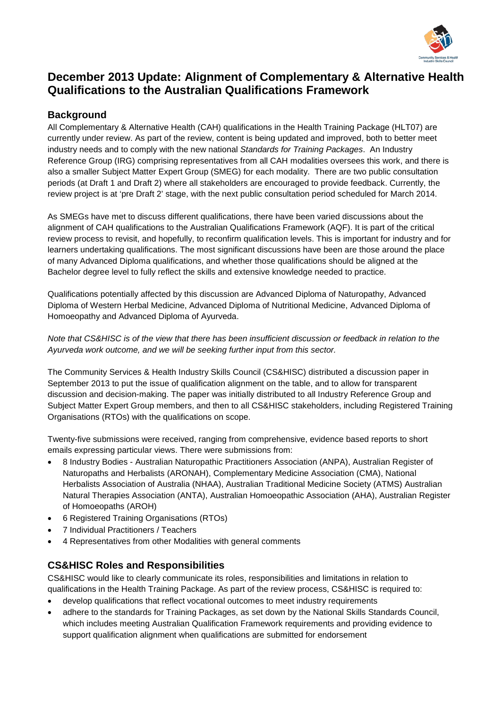

# **December 2013 Update: Alignment of Complementary & Alternative Health Qualifications to the Australian Qualifications Framework**

## **Background**

All Complementary & Alternative Health (CAH) qualifications in the Health Training Package (HLT07) are currently under review. As part of the review, content is being updated and improved, both to better meet industry needs and to comply with the new national *Standards for Training Packages*. An Industry Reference Group (IRG) comprising representatives from all CAH modalities oversees this work, and there is also a smaller Subject Matter Expert Group (SMEG) for each modality. There are two public consultation periods (at Draft 1 and Draft 2) where all stakeholders are encouraged to provide feedback. Currently, the review project is at 'pre Draft 2' stage, with the next public consultation period scheduled for March 2014.

As SMEGs have met to discuss different qualifications, there have been varied discussions about the alignment of CAH qualifications to the Australian Qualifications Framework (AQF). It is part of the critical review process to revisit, and hopefully, to reconfirm qualification levels. This is important for industry and for learners undertaking qualifications. The most significant discussions have been are those around the place of many Advanced Diploma qualifications, and whether those qualifications should be aligned at the Bachelor degree level to fully reflect the skills and extensive knowledge needed to practice.

Qualifications potentially affected by this discussion are Advanced Diploma of Naturopathy, Advanced Diploma of Western Herbal Medicine, Advanced Diploma of Nutritional Medicine, Advanced Diploma of Homoeopathy and Advanced Diploma of Ayurveda.

#### *Note that CS&HISC is of the view that there has been insufficient discussion or feedback in relation to the Ayurveda work outcome, and we will be seeking further input from this sector.*

The Community Services & Health Industry Skills Council (CS&HISC) distributed a discussion paper in September 2013 to put the issue of qualification alignment on the table, and to allow for transparent discussion and decision-making. The paper was initially distributed to all Industry Reference Group and Subject Matter Expert Group members, and then to all CS&HISC stakeholders, including Registered Training Organisations (RTOs) with the qualifications on scope.

Twenty-five submissions were received, ranging from comprehensive, evidence based reports to short emails expressing particular views. There were submissions from:

- 8 Industry Bodies Australian Naturopathic Practitioners Association (ANPA), Australian Register of Naturopaths and Herbalists (ARONAH), Complementary Medicine Association (CMA), National Herbalists Association of Australia (NHAA), Australian Traditional Medicine Society (ATMS) Australian Natural Therapies Association (ANTA), Australian Homoeopathic Association (AHA), Australian Register of Homoeopaths (AROH)
- 6 Registered Training Organisations (RTOs)
- 7 Individual Practitioners / Teachers
- 4 Representatives from other Modalities with general comments

### **CS&HISC Roles and Responsibilities**

CS&HISC would like to clearly communicate its roles, responsibilities and limitations in relation to qualifications in the Health Training Package. As part of the review process, CS&HISC is required to:

- develop qualifications that reflect vocational outcomes to meet industry requirements
- adhere to the standards for Training Packages, as set down by the National Skills Standards Council, which includes meeting Australian Qualification Framework requirements and providing evidence to support qualification alignment when qualifications are submitted for endorsement